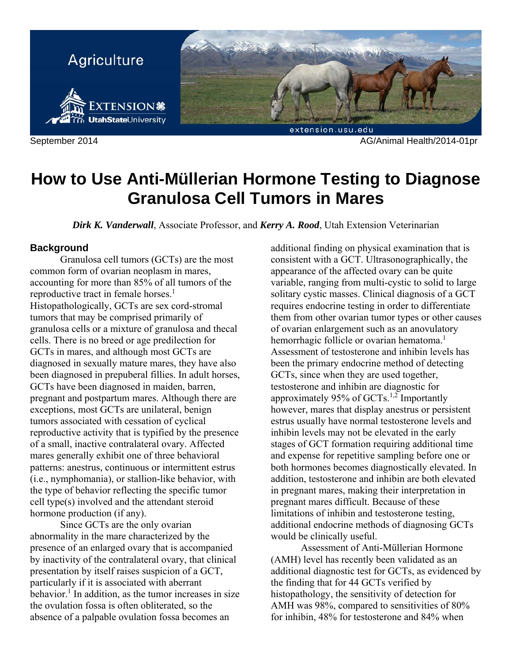

September 2014 AG/Animal Health/2014-01pr

# **How to Use Anti-Müllerian Hormone Testing to Diagnose Granulosa Cell Tumors in Mares**

*Dirk K. Vanderwall*, Associate Professor, and *Kerry A. Rood*, Utah Extension Veterinarian

# **Background**

 Granulosa cell tumors (GCTs) are the most common form of ovarian neoplasm in mares, accounting for more than 85% of all tumors of the reproductive tract in female horses.<sup>1</sup> Histopathologically, GCTs are sex cord-stromal tumors that may be comprised primarily of granulosa cells or a mixture of granulosa and thecal cells. There is no breed or age predilection for GCTs in mares, and although most GCTs are diagnosed in sexually mature mares, they have also been diagnosed in prepuberal fillies. In adult horses, GCTs have been diagnosed in maiden, barren, pregnant and postpartum mares. Although there are exceptions, most GCTs are unilateral, benign tumors associated with cessation of cyclical reproductive activity that is typified by the presence of a small, inactive contralateral ovary. Affected mares generally exhibit one of three behavioral patterns: anestrus, continuous or intermittent estrus (i.e., nymphomania), or stallion-like behavior, with the type of behavior reflecting the specific tumor cell type(s) involved and the attendant steroid hormone production (if any).

 Since GCTs are the only ovarian abnormality in the mare characterized by the presence of an enlarged ovary that is accompanied by inactivity of the contralateral ovary, that clinical presentation by itself raises suspicion of a GCT, particularly if it is associated with aberrant behavior.<sup>1</sup> In addition, as the tumor increases in size the ovulation fossa is often obliterated, so the absence of a palpable ovulation fossa becomes an

additional finding on physical examination that is consistent with a GCT. Ultrasonographically, the appearance of the affected ovary can be quite variable, ranging from multi-cystic to solid to large solitary cystic masses. Clinical diagnosis of a GCT requires endocrine testing in order to differentiate them from other ovarian tumor types or other causes of ovarian enlargement such as an anovulatory hemorrhagic follicle or ovarian hematoma.<sup>1</sup> Assessment of testosterone and inhibin levels has been the primary endocrine method of detecting GCTs, since when they are used together, testosterone and inhibin are diagnostic for approximately 95% of GCTs.<sup>1,2</sup> Importantly however, mares that display anestrus or persistent estrus usually have normal testosterone levels and inhibin levels may not be elevated in the early stages of GCT formation requiring additional time and expense for repetitive sampling before one or both hormones becomes diagnostically elevated. In addition, testosterone and inhibin are both elevated in pregnant mares, making their interpretation in pregnant mares difficult. Because of these limitations of inhibin and testosterone testing, additional endocrine methods of diagnosing GCTs would be clinically useful.

 Assessment of Anti-Müllerian Hormone (AMH) level has recently been validated as an additional diagnostic test for GCTs, as evidenced by the finding that for 44 GCTs verified by histopathology, the sensitivity of detection for AMH was 98%, compared to sensitivities of 80% for inhibin, 48% for testosterone and 84% when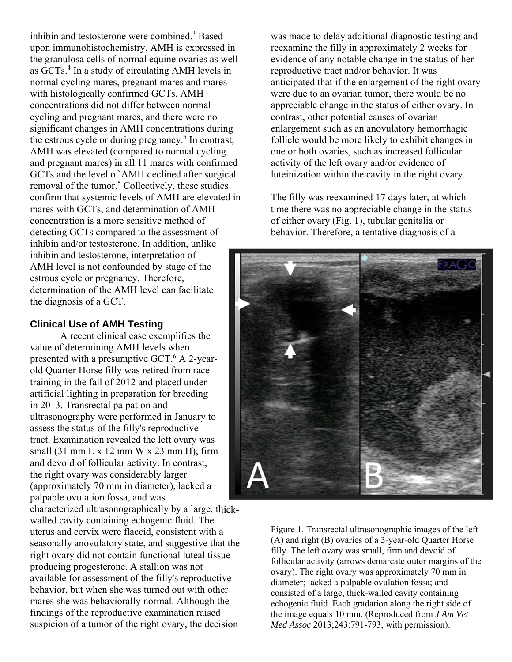inhibin and testosterone were combined.<sup>3</sup> Based upon immunohistochemistry, AMH is expressed in the granulosa cells of normal equine ovaries as well as GCTs.<sup>4</sup> In a study of circulating AMH levels in normal cycling mares, pregnant mares and mares with histologically confirmed GCTs, AMH concentrations did not differ between normal cycling and pregnant mares, and there were no significant changes in AMH concentrations during the estrous cycle or during pregnancy.<sup>5</sup> In contrast, AMH was elevated (compared to normal cycling and pregnant mares) in all 11 mares with confirmed GCTs and the level of AMH declined after surgical removal of the tumor.<sup>5</sup> Collectively, these studies confirm that systemic levels of AMH are elevated in mares with GCTs, and determination of AMH concentration is a more sensitive method of detecting GCTs compared to the assessment of inhibin and/or testosterone. In addition, unlike inhibin and testosterone, interpretation of AMH level is not confounded by stage of the estrous cycle or pregnancy. Therefore, determination of the AMH level can facilitate the diagnosis of a GCT.

# **Clinical Use of AMH Testing**

 A recent clinical case exemplifies the value of determining AMH levels when presented with a presumptive GCT.<sup>6</sup> A 2-yearold Quarter Horse filly was retired from race training in the fall of 2012 and placed under artificial lighting in preparation for breeding in 2013. Transrectal palpation and ultrasonography were performed in January to assess the status of the filly's reproductive tract. Examination revealed the left ovary was small (31 mm L x 12 mm W x 23 mm H), firm and devoid of follicular activity. In contrast, the right ovary was considerably larger (approximately 70 mm in diameter), lacked a palpable ovulation fossa, and was

characterized ultrasonographically by a large, thickwalled cavity containing echogenic fluid. The uterus and cervix were flaccid, consistent with a seasonally anovulatory state, and suggestive that the right ovary did not contain functional luteal tissue producing progesterone. A stallion was not available for assessment of the filly's reproductive behavior, but when she was turned out with other mares she was behaviorally normal. Although the findings of the reproductive examination raised suspicion of a tumor of the right ovary, the decision

was made to delay additional diagnostic testing and reexamine the filly in approximately 2 weeks for evidence of any notable change in the status of her reproductive tract and/or behavior. It was anticipated that if the enlargement of the right ovary were due to an ovarian tumor, there would be no appreciable change in the status of either ovary. In contrast, other potential causes of ovarian enlargement such as an anovulatory hemorrhagic follicle would be more likely to exhibit changes in one or both ovaries, such as increased follicular activity of the left ovary and/or evidence of luteinization within the cavity in the right ovary.

The filly was reexamined 17 days later, at which time there was no appreciable change in the status of either ovary (Fig. 1), tubular genitalia or behavior. Therefore, a tentative diagnosis of a



Figure 1. Transrectal ultrasonographic images of the left (A) and right (B) ovaries of a 3-year-old Quarter Horse filly. The left ovary was small, firm and devoid of follicular activity (arrows demarcate outer margins of the ovary). The right ovary was approximately 70 mm in diameter; lacked a palpable ovulation fossa; and consisted of a large, thick-walled cavity containing echogenic fluid. Each gradation along the right side of the image equals 10 mm. (Reproduced from *J Am Vet Med Assoc* 2013;243:791-793, with permission).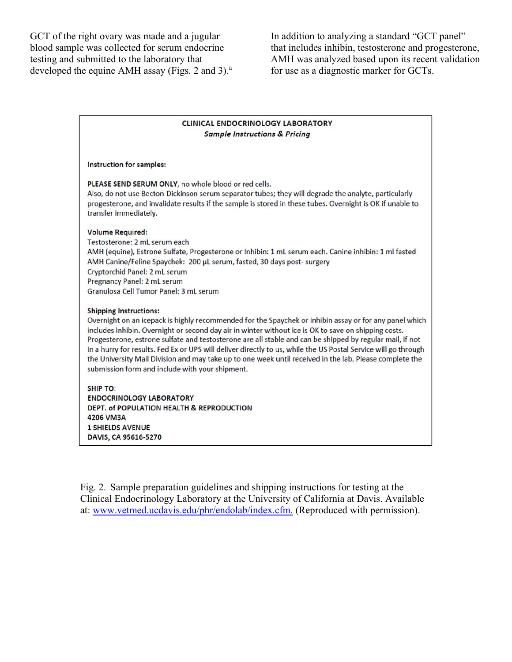GCT of the right ovary was made and a jugular blood sample was collected for serum endocrine testing and submitted to the laboratory that developed the equine AMH assay (Figs. 2 and 3). $^{\circ}$  In addition to analyzing a standard "GCT panel" that includes inhibin, testosterone and progesterone, AMH was analyzed based upon its recent validation for use as a diagnostic marker for GCTs.

#### **CLINICAL ENDOCRINOLOGY LABORATORY Sample Instructions & Pricing**

#### Instruction for samples:

PLEASE SEND SERUM ONLY, no whole blood or red cells.

Also, do not use Becton-Dickinson serum separator tubes; they will degrade the analyte, particularly progesterone, and invalidate results if the sample is stored in these tubes. Overnight is OK if unable to transfer immediately.

#### **Volume Required:**

Testosterone: 2 mL serum each AMH (equine), Estrone Sulfate, Progesterone or Inhibin: 1 mL serum each. Canine inhibin: 1 ml fasted AMH Canine/Feline Spaychek: 200 µL serum, fasted, 30 days post- surgery Cryptorchid Panel: 2 mL serum Pregnancy Panel: 2 mL serum Granulosa Cell Tumor Panel: 3 mL serum

#### **Shipping Instructions:**

Overnight on an icepack is highly recommended for the Spaychek or inhibin assay or for any panel which includes inhibin. Overnight or second day air in winter without ice is OK to save on shipping costs. Progesterone, estrone sulfate and testosterone are all stable and can be shipped by regular mail, if not in a hurry for results. Fed Ex or UPS will deliver directly to us, while the US Postal Service will go through the University Mail Division and may take up to one week until received in the lab. Please complete the submission form and include with your shipment.

**SHIP TO: ENDOCRINOLOGY LABORATORY** DEPT. of POPULATION HEALTH & REPRODUCTION 4206 VM3A **1 SHIELDS AVENUE** DAVIS, CA 95616-5270

Fig. 2. Sample preparation guidelines and shipping instructions for testing at the Clinical Endocrinology Laboratory at the University of California at Davis. Available at: www.vetmed.ucdavis.edu/phr/endolab/index.cfm. (Reproduced with permission).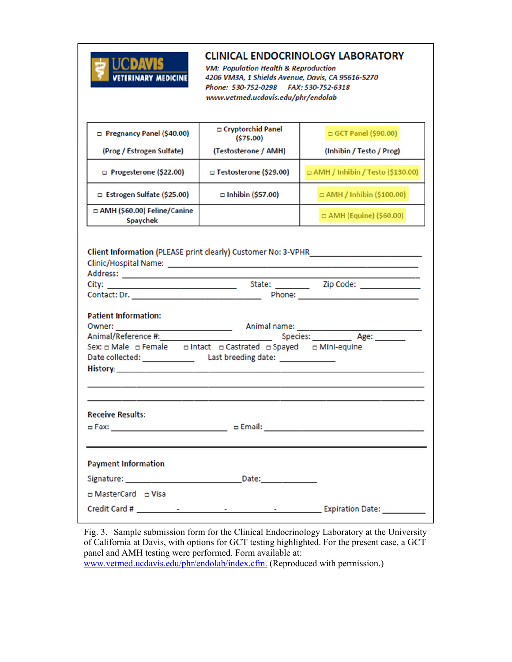

# **CLINICAL ENDOCRINOLOGY LABORATORY**

**VM: Population Health & Reproduction** 4206 VM3A, 1 Shields Avenue, Davis, CA 95616-5270 Phone: 530-752-0298 FAX: 530-752-6318 www.vetmed.ucdavis.edu/phr/endolab

| □ Pregnancy Panel (\$40.00)                                   | ⊏ Cryptorchid Panel<br>(\$75.00)            | $\Box$ GCT Panel (\$90.00)         |  |  |  |
|---------------------------------------------------------------|---------------------------------------------|------------------------------------|--|--|--|
| (Prog / Estrogen Sulfate)                                     | (Testosterone / AMH)                        | (Inhibin / Testo / Prog)           |  |  |  |
| $\Box$ Progesterone (\$22.00)                                 | □ Testosterone (\$29.00)                    | □ AMH / Inhibin / Testo (\$130.00) |  |  |  |
| $\Box$ Estrogen Sulfate (\$25.00)                             | $\Box$ Inhibin (\$57.00)                    | $\Box$ AMH / Inhibin (\$100.00)    |  |  |  |
| □ AMH (\$60.00) Feline/Canine<br>Spaychek                     |                                             | $\Box$ AMH (Equine) (\$60.00)      |  |  |  |
| Client Information (PLEASE print clearly) Customer No: 3-VPHR |                                             |                                    |  |  |  |
|                                                               |                                             |                                    |  |  |  |
|                                                               |                                             |                                    |  |  |  |
| Phone: <b>Example 20</b> Phone: <b>Phone:</b> Phone: 1999     |                                             |                                    |  |  |  |
| <b>Patient Information:</b>                                   |                                             |                                    |  |  |  |
|                                                               |                                             |                                    |  |  |  |
| Animal/Reference #:                                           | <b>Contractor</b>                           | Species: Age:                      |  |  |  |
| Sex: o Male o Female                                          | □ Intact □ Castrated □ Spayed □ Mini-equine |                                    |  |  |  |

|                                                                             | Last breeding date: _____________                                                                               | <u>. And the second control of the second control of the second control of the second control of the second control of the second control of the second control of the second control of the second control of the second contro</u> |
|-----------------------------------------------------------------------------|-----------------------------------------------------------------------------------------------------------------|--------------------------------------------------------------------------------------------------------------------------------------------------------------------------------------------------------------------------------------|
| <b>Receive Results:</b>                                                     | 그 그 그 사람들은 그 사람들은 그 사람들을 지르는 것이 아니라 그 사람들은 그 사람들을 지르는 것이 아니라 그 사람들을 지르는 것이 아니라 그 사람들을 지르는 것이 아니라 그 사람들을 지르는 것이  |                                                                                                                                                                                                                                      |
| <b>Payment Information</b>                                                  |                                                                                                                 |                                                                                                                                                                                                                                      |
|                                                                             |                                                                                                                 |                                                                                                                                                                                                                                      |
| □ MasterCard □ Visa<br>Credit Card #<br>and the contract of the contract of | - 2012년 - 대한민국의 대한민국의 대한민국의 대한민국의 대한민국의 대한민국의 대한민국의 대한민국의 대한민국의 대한민국의 대한민국의 대한민국의 대한민국의 대한민국의 대한민국의 대한민국의 대한민국의 | <b>Evniration Date:</b>                                                                                                                                                                                                              |

Fig. 3. Sample submission form for the Clinical Endocrinology Laboratory at the University of California at Davis, with options for GCT testing highlighted. For the present case, a GCT panel and AMH testing were performed. Form available at:

www.vetmed.ucdavis.edu/phr/endolab/index.cfm. (Reproduced with permission.)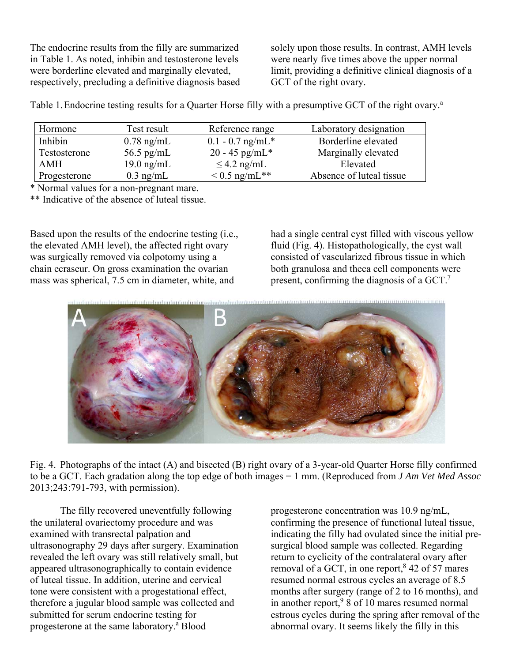The endocrine results from the filly are summarized in Table 1. As noted, inhibin and testosterone levels were borderline elevated and marginally elevated, respectively, precluding a definitive diagnosis based solely upon those results. In contrast, AMH levels were nearly five times above the upper normal limit, providing a definitive clinical diagnosis of a GCT of the right ovary.

Table 1. Endocrine testing results for a Quarter Horse filly with a presumptive GCT of the right ovary.<sup>a</sup>

| Hormone      | Test result          | Reference range    | Laboratory designation   |
|--------------|----------------------|--------------------|--------------------------|
| Inhibin      | $0.78$ ng/mL         | $0.1 - 0.7$ ng/mL* | Borderline elevated      |
| Testosterone | 56.5 pg/mL           | $20 - 45$ pg/mL*   | Marginally elevated      |
| <b>AMH</b>   | $19.0 \text{ ng/mL}$ | $\leq$ 4.2 ng/mL   | Elevated                 |
| Progesterone | $0.3$ ng/mL          | $< 0.5$ ng/mL**    | Absence of luteal tissue |

\* Normal values for a non-pregnant mare.

\*\* Indicative of the absence of luteal tissue.

Based upon the results of the endocrine testing (i.e., the elevated AMH level), the affected right ovary was surgically removed via colpotomy using a chain ecraseur. On gross examination the ovarian mass was spherical, 7.5 cm in diameter, white, and

had a single central cyst filled with viscous yellow fluid (Fig. 4). Histopathologically, the cyst wall consisted of vascularized fibrous tissue in which both granulosa and theca cell components were present, confirming the diagnosis of a GCT.<sup>7</sup>



Fig. 4. Photographs of the intact (A) and bisected (B) right ovary of a 3-year-old Quarter Horse filly confirmed to be a GCT. Each gradation along the top edge of both images = 1 mm. (Reproduced from *J Am Vet Med Assoc* 2013;243:791-793, with permission).

 The filly recovered uneventfully following the unilateral ovariectomy procedure and was examined with transrectal palpation and ultrasonography 29 days after surgery. Examination revealed the left ovary was still relatively small, but appeared ultrasonographically to contain evidence of luteal tissue. In addition, uterine and cervical tone were consistent with a progestational effect, therefore a jugular blood sample was collected and submitted for serum endocrine testing for progesterone at the same laboratory.<sup>a</sup> Blood

progesterone concentration was 10.9 ng/mL, confirming the presence of functional luteal tissue, indicating the filly had ovulated since the initial presurgical blood sample was collected. Regarding return to cyclicity of the contralateral ovary after removal of a GCT, in one report,  $8\,42$  of 57 mares resumed normal estrous cycles an average of 8.5 months after surgery (range of 2 to 16 months), and in another report,  $98$  of 10 mares resumed normal estrous cycles during the spring after removal of the abnormal ovary. It seems likely the filly in this